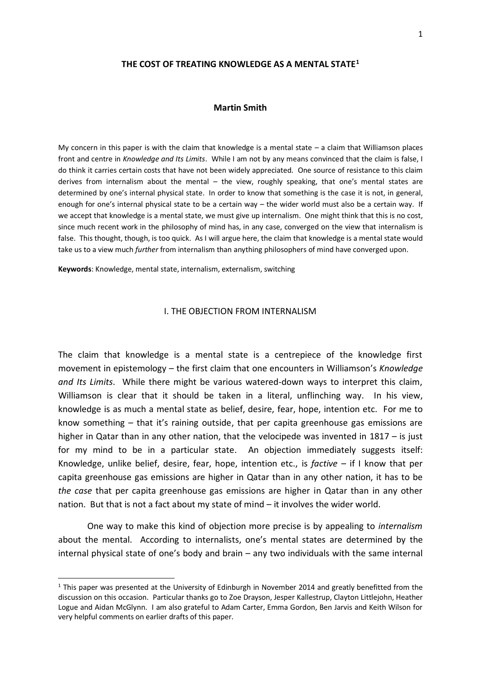# **THE COST OF TREATING KNOWLEDGE AS A MENTAL STATE<sup>1</sup>**

## **Martin Smith**

My concern in this paper is with the claim that knowledge is a mental state  $-$  a claim that Williamson places front and centre in *Knowledge and Its Limits*. While I am not by any means convinced that the claim is false, I do think it carries certain costs that have not been widely appreciated. One source of resistance to this claim derives from internalism about the mental – the view, roughly speaking, that one's mental states are determined by one's internal physical state. In order to know that something is the case it is not, in general, enough for one's internal physical state to be a certain way – the wider world must also be a certain way. If we accept that knowledge is a mental state, we must give up internalism. One might think that this is no cost, since much recent work in the philosophy of mind has, in any case, converged on the view that internalism is false. This thought, though, is too quick. As I will argue here, the claim that knowledge is a mental state would take us to a view much *further* from internalism than anything philosophers of mind have converged upon.

**Keywords**: Knowledge, mental state, internalism, externalism, switching

-

## I. THE OBJECTION FROM INTERNALISM

The claim that knowledge is a mental state is a centrepiece of the knowledge first movement in epistemology – the first claim that one encounters in Williamson's *Knowledge and Its Limits*. While there might be various watered-down ways to interpret this claim, Williamson is clear that it should be taken in a literal, unflinching way. In his view, knowledge is as much a mental state as belief, desire, fear, hope, intention etc. For me to know something  $-$  that it's raining outside, that per capita greenhouse gas emissions are higher in Qatar than in any other nation, that the velocipede was invented in 1817 – is just for my mind to be in a particular state. An objection immediately suggests itself: Knowledge, unlike belief, desire, fear, hope, intention etc., is *factive* – if I know that per capita greenhouse gas emissions are higher in Qatar than in any other nation, it has to be *the case* that per capita greenhouse gas emissions are higher in Qatar than in any other nation. But that is not a fact about my state of mind – it involves the wider world.

One way to make this kind of objection more precise is by appealing to *internalism* about the mental. According to internalists, one's mental states are determined by the internal physical state of one's body and brain – any two individuals with the same internal

 $1$  This paper was presented at the University of Edinburgh in November 2014 and greatly benefitted from the discussion on this occasion. Particular thanks go to Zoe Drayson, Jesper Kallestrup, Clayton Littlejohn, Heather Logue and Aidan McGlynn. I am also grateful to Adam Carter, Emma Gordon, Ben Jarvis and Keith Wilson for very helpful comments on earlier drafts of this paper.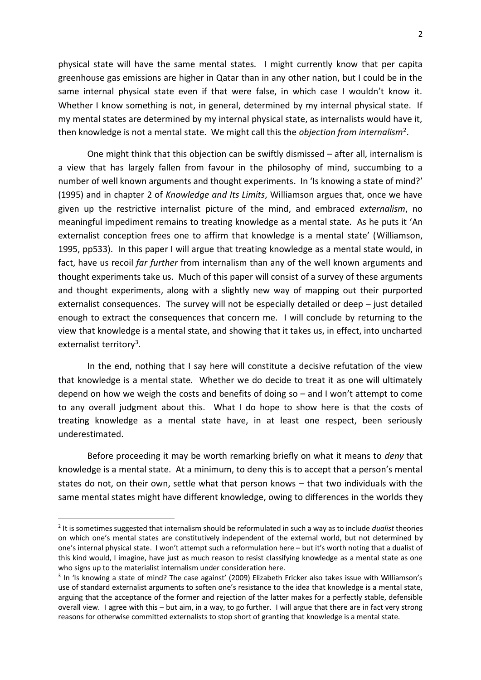physical state will have the same mental states. I might currently know that per capita greenhouse gas emissions are higher in Qatar than in any other nation, but I could be in the same internal physical state even if that were false, in which case I wouldn't know it. Whether I know something is not, in general, determined by my internal physical state. If my mental states are determined by my internal physical state, as internalists would have it, then knowledge is not a mental state. We might call this the *objection from internalism*<sup>2</sup> .

One might think that this objection can be swiftly dismissed – after all, internalism is a view that has largely fallen from favour in the philosophy of mind, succumbing to a number of well known arguments and thought experiments. In 'Is knowing a state of mind?' (1995) and in chapter 2 of *Knowledge and Its Limits*, Williamson argues that, once we have given up the restrictive internalist picture of the mind, and embraced *externalism*, no meaningful impediment remains to treating knowledge as a mental state. As he puts it 'An externalist conception frees one to affirm that knowledge is a mental state' (Williamson, 1995, pp533). In this paper I will argue that treating knowledge as a mental state would, in fact, have us recoil *far further* from internalism than any of the well known arguments and thought experiments take us. Much of this paper will consist of a survey of these arguments and thought experiments, along with a slightly new way of mapping out their purported externalist consequences. The survey will not be especially detailed or deep – just detailed enough to extract the consequences that concern me. I will conclude by returning to the view that knowledge is a mental state, and showing that it takes us, in effect, into uncharted externalist territory<sup>3</sup>.

In the end, nothing that I say here will constitute a decisive refutation of the view that knowledge is a mental state. Whether we do decide to treat it as one will ultimately depend on how we weigh the costs and benefits of doing so – and I won't attempt to come to any overall judgment about this. What I do hope to show here is that the costs of treating knowledge as a mental state have, in at least one respect, been seriously underestimated.

Before proceeding it may be worth remarking briefly on what it means to *deny* that knowledge is a mental state. At a minimum, to deny this is to accept that a person's mental states do not, on their own, settle what that person knows – that two individuals with the same mental states might have different knowledge, owing to differences in the worlds they

<sup>2</sup> It is sometimes suggested that internalism should be reformulated in such a way as to include *dualist* theories on which one's mental states are constitutively independent of the external world, but not determined by one's internal physical state. I won't attempt such a reformulation here – but it's worth noting that a dualist of this kind would, I imagine, have just as much reason to resist classifying knowledge as a mental state as one who signs up to the materialist internalism under consideration here.

<sup>&</sup>lt;sup>3</sup> In 'Is knowing a state of mind? The case against' (2009) Elizabeth Fricker also takes issue with Williamson's use of standard externalist arguments to soften one's resistance to the idea that knowledge is a mental state, arguing that the acceptance of the former and rejection of the latter makes for a perfectly stable, defensible overall view. I agree with this – but aim, in a way, to go further. I will argue that there are in fact very strong reasons for otherwise committed externalists to stop short of granting that knowledge is a mental state.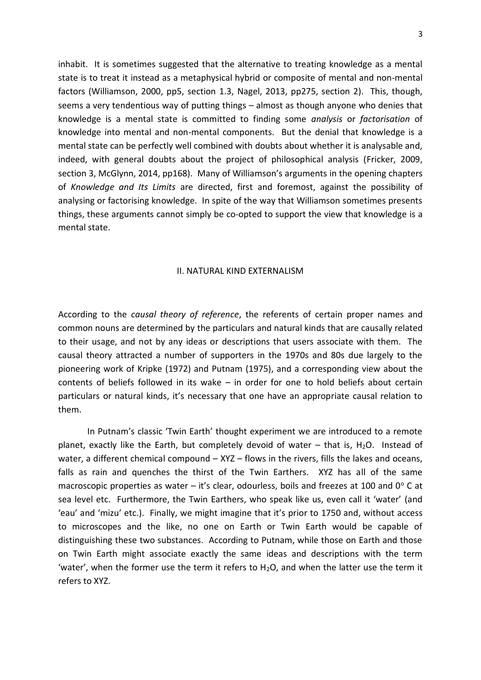inhabit. It is sometimes suggested that the alternative to treating knowledge as a mental state is to treat it instead as a metaphysical hybrid or composite of mental and non-mental factors (Williamson, 2000, pp5, section 1.3, Nagel, 2013, pp275, section 2). This, though, seems a very tendentious way of putting things – almost as though anyone who denies that knowledge is a mental state is committed to finding some *analysis* or *factorisation* of knowledge into mental and non-mental components. But the denial that knowledge is a mental state can be perfectly well combined with doubts about whether it is analysable and, indeed, with general doubts about the project of philosophical analysis (Fricker, 2009, section 3, McGlynn, 2014, pp168). Many of Williamson's arguments in the opening chapters of *Knowledge and Its Limits* are directed, first and foremost, against the possibility of analysing or factorising knowledge. In spite of the way that Williamson sometimes presents things, these arguments cannot simply be co-opted to support the view that knowledge is a mental state.

# II. NATURAL KIND EXTERNALISM

According to the *causal theory of reference*, the referents of certain proper names and common nouns are determined by the particulars and natural kinds that are causally related to their usage, and not by any ideas or descriptions that users associate with them. The causal theory attracted a number of supporters in the 1970s and 80s due largely to the pioneering work of Kripke (1972) and Putnam (1975), and a corresponding view about the contents of beliefs followed in its wake – in order for one to hold beliefs about certain particulars or natural kinds, it's necessary that one have an appropriate causal relation to them.

In Putnam's classic 'Twin Earth' thought experiment we are introduced to a remote planet, exactly like the Earth, but completely devoid of water  $-$  that is, H<sub>2</sub>O. Instead of water, a different chemical compound – XYZ – flows in the rivers, fills the lakes and oceans, falls as rain and quenches the thirst of the Twin Earthers. XYZ has all of the same macroscopic properties as water – it's clear, odourless, boils and freezes at 100 and  $0^{\circ}$  C at sea level etc. Furthermore, the Twin Earthers, who speak like us, even call it 'water' (and 'eau' and 'mizu' etc.). Finally, we might imagine that it's prior to 1750 and, without access to microscopes and the like, no one on Earth or Twin Earth would be capable of distinguishing these two substances. According to Putnam, while those on Earth and those on Twin Earth might associate exactly the same ideas and descriptions with the term 'water', when the former use the term it refers to  $H_2O$ , and when the latter use the term it refers to XYZ.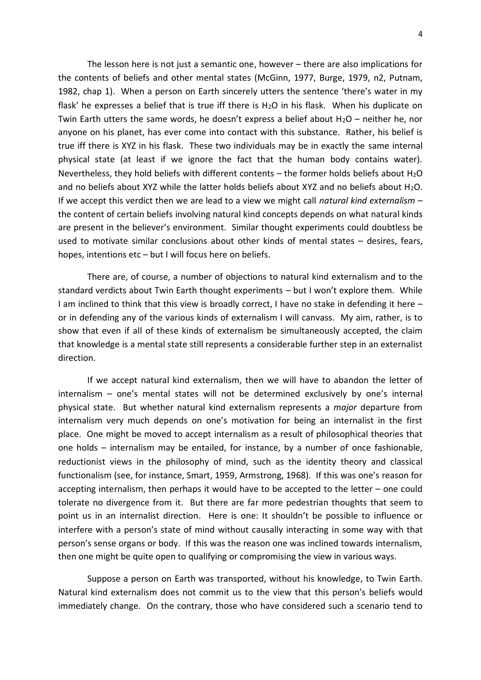The lesson here is not just a semantic one, however – there are also implications for the contents of beliefs and other mental states (McGinn, 1977, Burge, 1979, n2, Putnam, 1982, chap 1). When a person on Earth sincerely utters the sentence 'there's water in my flask' he expresses a belief that is true iff there is  $H_2O$  in his flask. When his duplicate on Twin Earth utters the same words, he doesn't express a belief about  $H_2O$  – neither he, nor anyone on his planet, has ever come into contact with this substance. Rather, his belief is true iff there is XYZ in his flask. These two individuals may be in exactly the same internal physical state (at least if we ignore the fact that the human body contains water). Nevertheless, they hold beliefs with different contents – the former holds beliefs about H<sub>2</sub>O and no beliefs about XYZ while the latter holds beliefs about XYZ and no beliefs about H2O. If we accept this verdict then we are lead to a view we might call *natural kind externalism* – the content of certain beliefs involving natural kind concepts depends on what natural kinds are present in the believer's environment. Similar thought experiments could doubtless be used to motivate similar conclusions about other kinds of mental states – desires, fears, hopes, intentions etc – but I will focus here on beliefs.

There are, of course, a number of objections to natural kind externalism and to the standard verdicts about Twin Earth thought experiments – but I won't explore them. While I am inclined to think that this view is broadly correct, I have no stake in defending it here – or in defending any of the various kinds of externalism I will canvass. My aim, rather, is to show that even if all of these kinds of externalism be simultaneously accepted, the claim that knowledge is a mental state still represents a considerable further step in an externalist direction.

If we accept natural kind externalism, then we will have to abandon the letter of internalism – one's mental states will not be determined exclusively by one's internal physical state. But whether natural kind externalism represents a *major* departure from internalism very much depends on one's motivation for being an internalist in the first place. One might be moved to accept internalism as a result of philosophical theories that one holds – internalism may be entailed, for instance, by a number of once fashionable, reductionist views in the philosophy of mind, such as the identity theory and classical functionalism (see, for instance, Smart, 1959, Armstrong, 1968). If this was one's reason for accepting internalism, then perhaps it would have to be accepted to the letter – one could tolerate no divergence from it. But there are far more pedestrian thoughts that seem to point us in an internalist direction. Here is one: It shouldn't be possible to influence or interfere with a person's state of mind without causally interacting in some way with that person's sense organs or body. If this was the reason one was inclined towards internalism, then one might be quite open to qualifying or compromising the view in various ways.

Suppose a person on Earth was transported, without his knowledge, to Twin Earth. Natural kind externalism does not commit us to the view that this person's beliefs would immediately change. On the contrary, those who have considered such a scenario tend to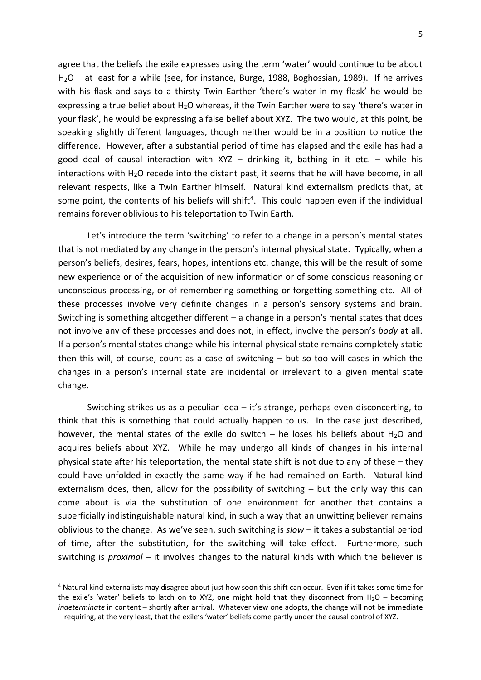agree that the beliefs the exile expresses using the term 'water' would continue to be about H2O – at least for a while (see, for instance, Burge, 1988, Boghossian, 1989). If he arrives with his flask and says to a thirsty Twin Earther 'there's water in my flask' he would be expressing a true belief about  $H_2O$  whereas, if the Twin Earther were to say 'there's water in your flask', he would be expressing a false belief about XYZ. The two would, at this point, be speaking slightly different languages, though neither would be in a position to notice the difference. However, after a substantial period of time has elapsed and the exile has had a good deal of causal interaction with  $XYZ -$  drinking it, bathing in it etc. - while his interactions with  $H_2O$  recede into the distant past, it seems that he will have become, in all relevant respects, like a Twin Earther himself. Natural kind externalism predicts that, at some point, the contents of his beliefs will shift<sup>4</sup>. This could happen even if the individual remains forever oblivious to his teleportation to Twin Earth.

Let's introduce the term 'switching' to refer to a change in a person's mental states that is not mediated by any change in the person's internal physical state. Typically, when a person's beliefs, desires, fears, hopes, intentions etc. change, this will be the result of some new experience or of the acquisition of new information or of some conscious reasoning or unconscious processing, or of remembering something or forgetting something etc. All of these processes involve very definite changes in a person's sensory systems and brain. Switching is something altogether different – a change in a person's mental states that does not involve any of these processes and does not, in effect, involve the person's *body* at all. If a person's mental states change while his internal physical state remains completely static then this will, of course, count as a case of switching – but so too will cases in which the changes in a person's internal state are incidental or irrelevant to a given mental state change.

Switching strikes us as a peculiar idea – it's strange, perhaps even disconcerting, to think that this is something that could actually happen to us. In the case just described, however, the mental states of the exile do switch – he loses his beliefs about H<sub>2</sub>O and acquires beliefs about XYZ. While he may undergo all kinds of changes in his internal physical state after his teleportation, the mental state shift is not due to any of these – they could have unfolded in exactly the same way if he had remained on Earth. Natural kind externalism does, then, allow for the possibility of switching  $-$  but the only way this can come about is via the substitution of one environment for another that contains a superficially indistinguishable natural kind, in such a way that an unwitting believer remains oblivious to the change. As we've seen, such switching is *slow* – it takes a substantial period of time, after the substitution, for the switching will take effect. Furthermore, such switching is *proximal* – it involves changes to the natural kinds with which the believer is

<sup>&</sup>lt;sup>4</sup> Natural kind externalists may disagree about just how soon this shift can occur. Even if it takes some time for the exile's 'water' beliefs to latch on to XYZ, one might hold that they disconnect from  $H_2O$  – becoming *indeterminate* in content – shortly after arrival. Whatever view one adopts, the change will not be immediate – requiring, at the very least, that the exile's 'water' beliefs come partly under the causal control of XYZ.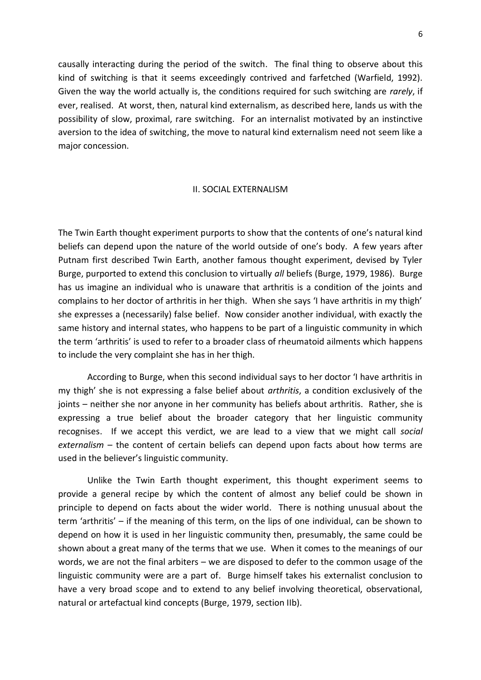causally interacting during the period of the switch. The final thing to observe about this kind of switching is that it seems exceedingly contrived and farfetched (Warfield, 1992). Given the way the world actually is, the conditions required for such switching are *rarely*, if ever, realised. At worst, then, natural kind externalism, as described here, lands us with the possibility of slow, proximal, rare switching. For an internalist motivated by an instinctive aversion to the idea of switching, the move to natural kind externalism need not seem like a major concession.

# II. SOCIAL EXTERNALISM

The Twin Earth thought experiment purports to show that the contents of one's natural kind beliefs can depend upon the nature of the world outside of one's body. A few years after Putnam first described Twin Earth, another famous thought experiment, devised by Tyler Burge, purported to extend this conclusion to virtually *all* beliefs (Burge, 1979, 1986). Burge has us imagine an individual who is unaware that arthritis is a condition of the joints and complains to her doctor of arthritis in her thigh. When she says 'I have arthritis in my thigh' she expresses a (necessarily) false belief. Now consider another individual, with exactly the same history and internal states, who happens to be part of a linguistic community in which the term 'arthritis' is used to refer to a broader class of rheumatoid ailments which happens to include the very complaint she has in her thigh.

According to Burge, when this second individual says to her doctor 'I have arthritis in my thigh' she is not expressing a false belief about *arthritis*, a condition exclusively of the joints – neither she nor anyone in her community has beliefs about arthritis. Rather, she is expressing a true belief about the broader category that her linguistic community recognises. If we accept this verdict, we are lead to a view that we might call *social externalism* – the content of certain beliefs can depend upon facts about how terms are used in the believer's linguistic community.

Unlike the Twin Earth thought experiment, this thought experiment seems to provide a general recipe by which the content of almost any belief could be shown in principle to depend on facts about the wider world. There is nothing unusual about the term 'arthritis' – if the meaning of this term, on the lips of one individual, can be shown to depend on how it is used in her linguistic community then, presumably, the same could be shown about a great many of the terms that we use. When it comes to the meanings of our words, we are not the final arbiters – we are disposed to defer to the common usage of the linguistic community were are a part of. Burge himself takes his externalist conclusion to have a very broad scope and to extend to any belief involving theoretical, observational, natural or artefactual kind concepts (Burge, 1979, section IIb).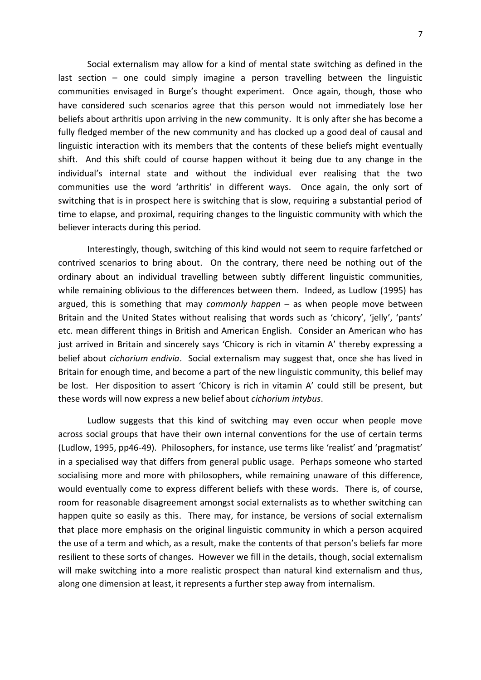Social externalism may allow for a kind of mental state switching as defined in the last section – one could simply imagine a person travelling between the linguistic communities envisaged in Burge's thought experiment. Once again, though, those who have considered such scenarios agree that this person would not immediately lose her beliefs about arthritis upon arriving in the new community. It is only after she has become a fully fledged member of the new community and has clocked up a good deal of causal and linguistic interaction with its members that the contents of these beliefs might eventually shift. And this shift could of course happen without it being due to any change in the individual's internal state and without the individual ever realising that the two communities use the word 'arthritis' in different ways. Once again, the only sort of switching that is in prospect here is switching that is slow, requiring a substantial period of time to elapse, and proximal, requiring changes to the linguistic community with which the believer interacts during this period.

Interestingly, though, switching of this kind would not seem to require farfetched or contrived scenarios to bring about. On the contrary, there need be nothing out of the ordinary about an individual travelling between subtly different linguistic communities, while remaining oblivious to the differences between them. Indeed, as Ludlow (1995) has argued, this is something that may *commonly happen* – as when people move between Britain and the United States without realising that words such as 'chicory', 'jelly', 'pants' etc. mean different things in British and American English. Consider an American who has just arrived in Britain and sincerely says 'Chicory is rich in vitamin A' thereby expressing a belief about *cichorium endivia*. Social externalism may suggest that, once she has lived in Britain for enough time, and become a part of the new linguistic community, this belief may be lost. Her disposition to assert 'Chicory is rich in vitamin A' could still be present, but these words will now express a new belief about *cichorium intybus*.

Ludlow suggests that this kind of switching may even occur when people move across social groups that have their own internal conventions for the use of certain terms (Ludlow, 1995, pp46-49). Philosophers, for instance, use terms like 'realist' and 'pragmatist' in a specialised way that differs from general public usage. Perhaps someone who started socialising more and more with philosophers, while remaining unaware of this difference, would eventually come to express different beliefs with these words. There is, of course, room for reasonable disagreement amongst social externalists as to whether switching can happen quite so easily as this. There may, for instance, be versions of social externalism that place more emphasis on the original linguistic community in which a person acquired the use of a term and which, as a result, make the contents of that person's beliefs far more resilient to these sorts of changes. However we fill in the details, though, social externalism will make switching into a more realistic prospect than natural kind externalism and thus, along one dimension at least, it represents a further step away from internalism.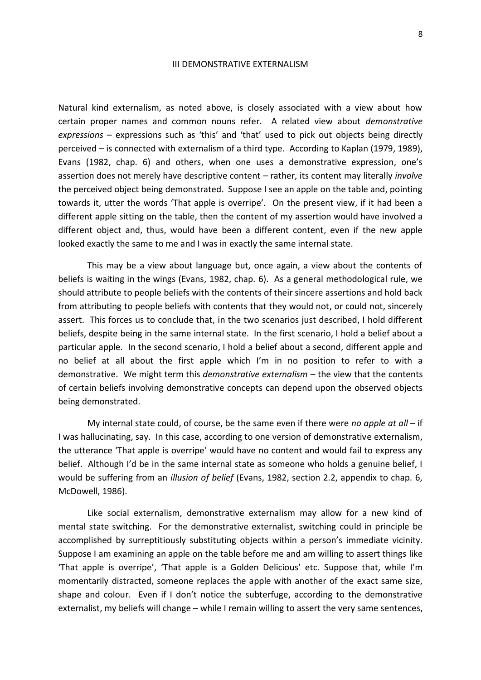#### III DEMONSTRATIVE EXTERNALISM

Natural kind externalism, as noted above, is closely associated with a view about how certain proper names and common nouns refer. A related view about *demonstrative expressions* – expressions such as 'this' and 'that' used to pick out objects being directly perceived – is connected with externalism of a third type. According to Kaplan (1979, 1989), Evans (1982, chap. 6) and others, when one uses a demonstrative expression, one's assertion does not merely have descriptive content – rather, its content may literally *involve* the perceived object being demonstrated. Suppose I see an apple on the table and, pointing towards it, utter the words 'That apple is overripe'. On the present view, if it had been a different apple sitting on the table, then the content of my assertion would have involved a different object and, thus, would have been a different content, even if the new apple looked exactly the same to me and I was in exactly the same internal state.

This may be a view about language but, once again, a view about the contents of beliefs is waiting in the wings (Evans, 1982, chap. 6). As a general methodological rule, we should attribute to people beliefs with the contents of their sincere assertions and hold back from attributing to people beliefs with contents that they would not, or could not, sincerely assert. This forces us to conclude that, in the two scenarios just described, I hold different beliefs, despite being in the same internal state. In the first scenario, I hold a belief about a particular apple. In the second scenario, I hold a belief about a second, different apple and no belief at all about the first apple which I'm in no position to refer to with a demonstrative. We might term this *demonstrative externalism* – the view that the contents of certain beliefs involving demonstrative concepts can depend upon the observed objects being demonstrated.

My internal state could, of course, be the same even if there were *no apple at all* – if I was hallucinating, say. In this case, according to one version of demonstrative externalism, the utterance 'That apple is overripe' would have no content and would fail to express any belief. Although I'd be in the same internal state as someone who holds a genuine belief, I would be suffering from an *illusion of belief* (Evans, 1982, section 2.2, appendix to chap. 6, McDowell, 1986).

Like social externalism, demonstrative externalism may allow for a new kind of mental state switching. For the demonstrative externalist, switching could in principle be accomplished by surreptitiously substituting objects within a person's immediate vicinity. Suppose I am examining an apple on the table before me and am willing to assert things like 'That apple is overripe', 'That apple is a Golden Delicious' etc. Suppose that, while I'm momentarily distracted, someone replaces the apple with another of the exact same size, shape and colour. Even if I don't notice the subterfuge, according to the demonstrative externalist, my beliefs will change – while I remain willing to assert the very same sentences,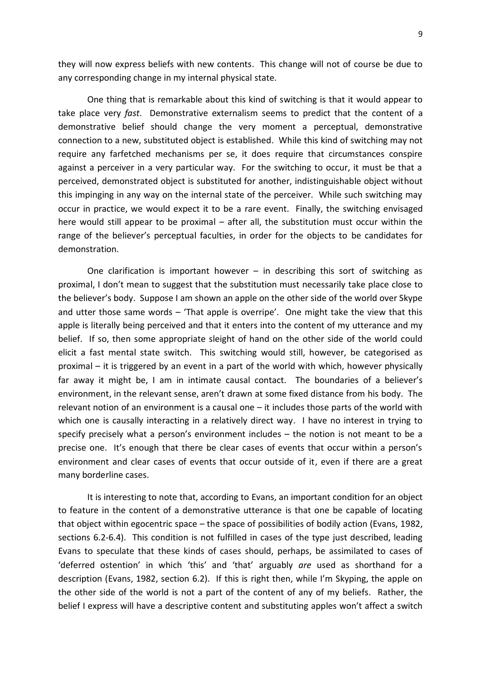they will now express beliefs with new contents. This change will not of course be due to any corresponding change in my internal physical state.

One thing that is remarkable about this kind of switching is that it would appear to take place very *fast*. Demonstrative externalism seems to predict that the content of a demonstrative belief should change the very moment a perceptual, demonstrative connection to a new, substituted object is established. While this kind of switching may not require any farfetched mechanisms per se, it does require that circumstances conspire against a perceiver in a very particular way. For the switching to occur, it must be that a perceived, demonstrated object is substituted for another, indistinguishable object without this impinging in any way on the internal state of the perceiver. While such switching may occur in practice, we would expect it to be a rare event. Finally, the switching envisaged here would still appear to be proximal – after all, the substitution must occur within the range of the believer's perceptual faculties, in order for the objects to be candidates for demonstration.

One clarification is important however  $-$  in describing this sort of switching as proximal, I don't mean to suggest that the substitution must necessarily take place close to the believer's body. Suppose I am shown an apple on the other side of the world over Skype and utter those same words – 'That apple is overripe'. One might take the view that this apple is literally being perceived and that it enters into the content of my utterance and my belief. If so, then some appropriate sleight of hand on the other side of the world could elicit a fast mental state switch. This switching would still, however, be categorised as proximal – it is triggered by an event in a part of the world with which, however physically far away it might be, I am in intimate causal contact. The boundaries of a believer's environment, in the relevant sense, aren't drawn at some fixed distance from his body. The relevant notion of an environment is a causal one – it includes those parts of the world with which one is causally interacting in a relatively direct way. I have no interest in trying to specify precisely what a person's environment includes – the notion is not meant to be a precise one. It's enough that there be clear cases of events that occur within a person's environment and clear cases of events that occur outside of it, even if there are a great many borderline cases.

It is interesting to note that, according to Evans, an important condition for an object to feature in the content of a demonstrative utterance is that one be capable of locating that object within egocentric space – the space of possibilities of bodily action (Evans, 1982, sections 6.2-6.4). This condition is not fulfilled in cases of the type just described, leading Evans to speculate that these kinds of cases should, perhaps, be assimilated to cases of 'deferred ostention' in which 'this' and 'that' arguably *are* used as shorthand for a description (Evans, 1982, section 6.2). If this is right then, while I'm Skyping, the apple on the other side of the world is not a part of the content of any of my beliefs. Rather, the belief I express will have a descriptive content and substituting apples won't affect a switch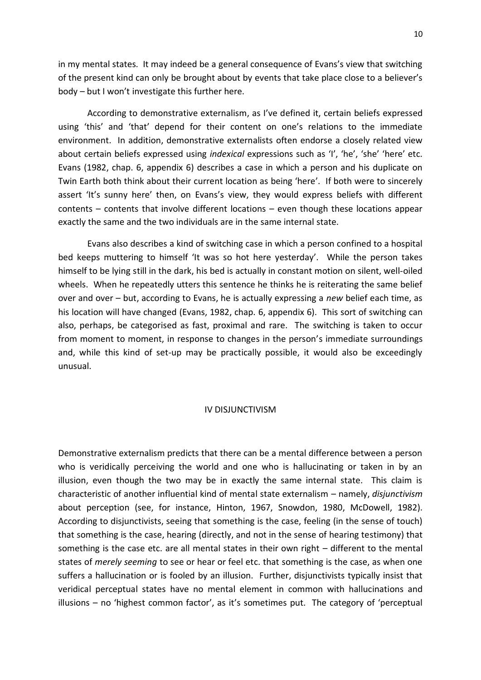in my mental states. It may indeed be a general consequence of Evans's view that switching of the present kind can only be brought about by events that take place close to a believer's body – but I won't investigate this further here.

According to demonstrative externalism, as I've defined it, certain beliefs expressed using 'this' and 'that' depend for their content on one's relations to the immediate environment. In addition, demonstrative externalists often endorse a closely related view about certain beliefs expressed using *indexical* expressions such as 'I', 'he', 'she' 'here' etc. Evans (1982, chap. 6, appendix 6) describes a case in which a person and his duplicate on Twin Earth both think about their current location as being 'here'. If both were to sincerely assert 'It's sunny here' then, on Evans's view, they would express beliefs with different contents – contents that involve different locations – even though these locations appear exactly the same and the two individuals are in the same internal state.

Evans also describes a kind of switching case in which a person confined to a hospital bed keeps muttering to himself 'It was so hot here yesterday'. While the person takes himself to be lying still in the dark, his bed is actually in constant motion on silent, well-oiled wheels. When he repeatedly utters this sentence he thinks he is reiterating the same belief over and over – but, according to Evans, he is actually expressing a *new* belief each time, as his location will have changed (Evans, 1982, chap. 6, appendix 6). This sort of switching can also, perhaps, be categorised as fast, proximal and rare. The switching is taken to occur from moment to moment, in response to changes in the person's immediate surroundings and, while this kind of set-up may be practically possible, it would also be exceedingly unusual.

#### IV DISJUNCTIVISM

Demonstrative externalism predicts that there can be a mental difference between a person who is veridically perceiving the world and one who is hallucinating or taken in by an illusion, even though the two may be in exactly the same internal state. This claim is characteristic of another influential kind of mental state externalism – namely, *disjunctivism* about perception (see, for instance, Hinton, 1967, Snowdon, 1980, McDowell, 1982). According to disjunctivists, seeing that something is the case, feeling (in the sense of touch) that something is the case, hearing (directly, and not in the sense of hearing testimony) that something is the case etc. are all mental states in their own right – different to the mental states of *merely seeming* to see or hear or feel etc. that something is the case, as when one suffers a hallucination or is fooled by an illusion. Further, disjunctivists typically insist that veridical perceptual states have no mental element in common with hallucinations and illusions – no 'highest common factor', as it's sometimes put. The category of 'perceptual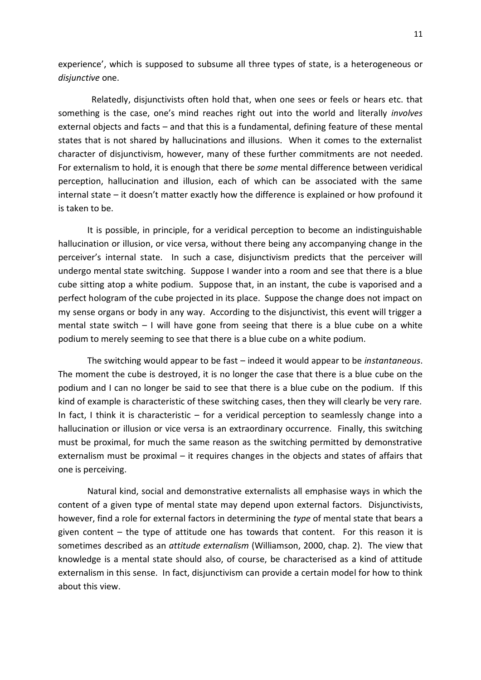experience', which is supposed to subsume all three types of state, is a heterogeneous or *disjunctive* one.

 Relatedly, disjunctivists often hold that, when one sees or feels or hears etc. that something is the case, one's mind reaches right out into the world and literally *involves* external objects and facts – and that this is a fundamental, defining feature of these mental states that is not shared by hallucinations and illusions. When it comes to the externalist character of disjunctivism, however, many of these further commitments are not needed. For externalism to hold, it is enough that there be *some* mental difference between veridical perception, hallucination and illusion, each of which can be associated with the same internal state – it doesn't matter exactly how the difference is explained or how profound it is taken to be.

It is possible, in principle, for a veridical perception to become an indistinguishable hallucination or illusion, or vice versa, without there being any accompanying change in the perceiver's internal state. In such a case, disjunctivism predicts that the perceiver will undergo mental state switching. Suppose I wander into a room and see that there is a blue cube sitting atop a white podium. Suppose that, in an instant, the cube is vaporised and a perfect hologram of the cube projected in its place. Suppose the change does not impact on my sense organs or body in any way. According to the disjunctivist, this event will trigger a mental state switch  $-1$  will have gone from seeing that there is a blue cube on a white podium to merely seeming to see that there is a blue cube on a white podium.

The switching would appear to be fast – indeed it would appear to be *instantaneous*. The moment the cube is destroyed, it is no longer the case that there is a blue cube on the podium and I can no longer be said to see that there is a blue cube on the podium. If this kind of example is characteristic of these switching cases, then they will clearly be very rare. In fact, I think it is characteristic  $-$  for a veridical perception to seamlessly change into a hallucination or illusion or vice versa is an extraordinary occurrence. Finally, this switching must be proximal, for much the same reason as the switching permitted by demonstrative externalism must be proximal – it requires changes in the objects and states of affairs that one is perceiving.

Natural kind, social and demonstrative externalists all emphasise ways in which the content of a given type of mental state may depend upon external factors. Disjunctivists, however, find a role for external factors in determining the *type* of mental state that bears a given content – the type of attitude one has towards that content. For this reason it is sometimes described as an *attitude externalism* (Williamson, 2000, chap. 2). The view that knowledge is a mental state should also, of course, be characterised as a kind of attitude externalism in this sense. In fact, disjunctivism can provide a certain model for how to think about this view.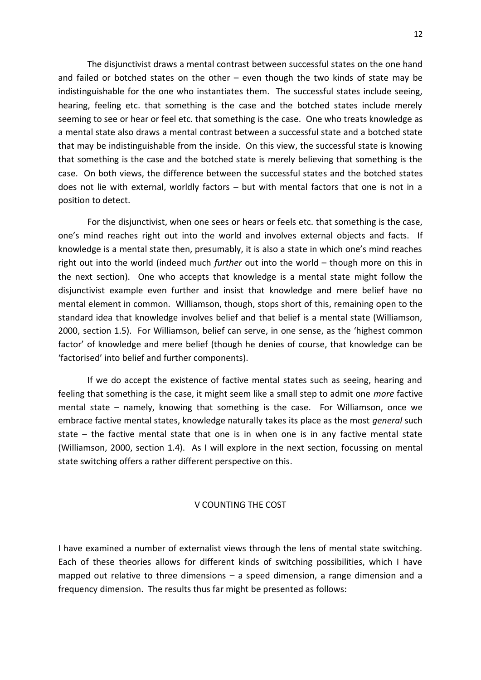The disjunctivist draws a mental contrast between successful states on the one hand and failed or botched states on the other – even though the two kinds of state may be indistinguishable for the one who instantiates them. The successful states include seeing, hearing, feeling etc. that something is the case and the botched states include merely seeming to see or hear or feel etc. that something is the case. One who treats knowledge as a mental state also draws a mental contrast between a successful state and a botched state that may be indistinguishable from the inside. On this view, the successful state is knowing that something is the case and the botched state is merely believing that something is the case. On both views, the difference between the successful states and the botched states does not lie with external, worldly factors – but with mental factors that one is not in a position to detect.

For the disjunctivist, when one sees or hears or feels etc. that something is the case, one's mind reaches right out into the world and involves external objects and facts. If knowledge is a mental state then, presumably, it is also a state in which one's mind reaches right out into the world (indeed much *further* out into the world – though more on this in the next section). One who accepts that knowledge is a mental state might follow the disjunctivist example even further and insist that knowledge and mere belief have no mental element in common. Williamson, though, stops short of this, remaining open to the standard idea that knowledge involves belief and that belief is a mental state (Williamson, 2000, section 1.5). For Williamson, belief can serve, in one sense, as the 'highest common factor' of knowledge and mere belief (though he denies of course, that knowledge can be 'factorised' into belief and further components).

If we do accept the existence of factive mental states such as seeing, hearing and feeling that something is the case, it might seem like a small step to admit one *more* factive mental state – namely, knowing that something is the case. For Williamson, once we embrace factive mental states, knowledge naturally takes its place as the most *general* such state – the factive mental state that one is in when one is in any factive mental state (Williamson, 2000, section 1.4). As I will explore in the next section, focussing on mental state switching offers a rather different perspective on this.

#### V COUNTING THE COST

I have examined a number of externalist views through the lens of mental state switching. Each of these theories allows for different kinds of switching possibilities, which I have mapped out relative to three dimensions – a speed dimension, a range dimension and a frequency dimension. The results thus far might be presented as follows: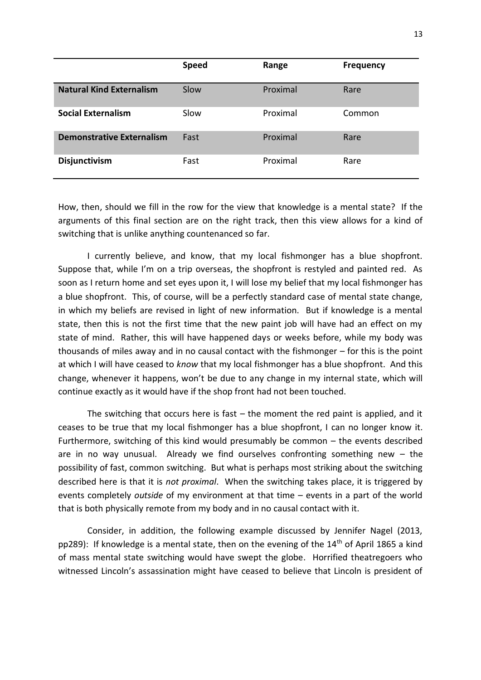|                                  | <b>Speed</b> | Range    | <b>Frequency</b> |
|----------------------------------|--------------|----------|------------------|
| <b>Natural Kind Externalism</b>  | Slow         | Proximal | Rare             |
| <b>Social Externalism</b>        | Slow         | Proximal | Common           |
| <b>Demonstrative Externalism</b> | Fast         | Proximal | Rare             |
| <b>Disjunctivism</b>             | Fast         | Proximal | Rare             |

How, then, should we fill in the row for the view that knowledge is a mental state? If the arguments of this final section are on the right track, then this view allows for a kind of switching that is unlike anything countenanced so far.

I currently believe, and know, that my local fishmonger has a blue shopfront. Suppose that, while I'm on a trip overseas, the shopfront is restyled and painted red. As soon as I return home and set eyes upon it, I will lose my belief that my local fishmonger has a blue shopfront. This, of course, will be a perfectly standard case of mental state change, in which my beliefs are revised in light of new information. But if knowledge is a mental state, then this is not the first time that the new paint job will have had an effect on my state of mind. Rather, this will have happened days or weeks before, while my body was thousands of miles away and in no causal contact with the fishmonger – for this is the point at which I will have ceased to *know* that my local fishmonger has a blue shopfront. And this change, whenever it happens, won't be due to any change in my internal state, which will continue exactly as it would have if the shop front had not been touched.

The switching that occurs here is fast  $-$  the moment the red paint is applied, and it ceases to be true that my local fishmonger has a blue shopfront, I can no longer know it. Furthermore, switching of this kind would presumably be common – the events described are in no way unusual. Already we find ourselves confronting something new – the possibility of fast, common switching. But what is perhaps most striking about the switching described here is that it is *not proximal*. When the switching takes place, it is triggered by events completely *outside* of my environment at that time – events in a part of the world that is both physically remote from my body and in no causal contact with it.

Consider, in addition, the following example discussed by Jennifer Nagel (2013, pp289): If knowledge is a mental state, then on the evening of the 14<sup>th</sup> of April 1865 a kind of mass mental state switching would have swept the globe. Horrified theatregoers who witnessed Lincoln's assassination might have ceased to believe that Lincoln is president of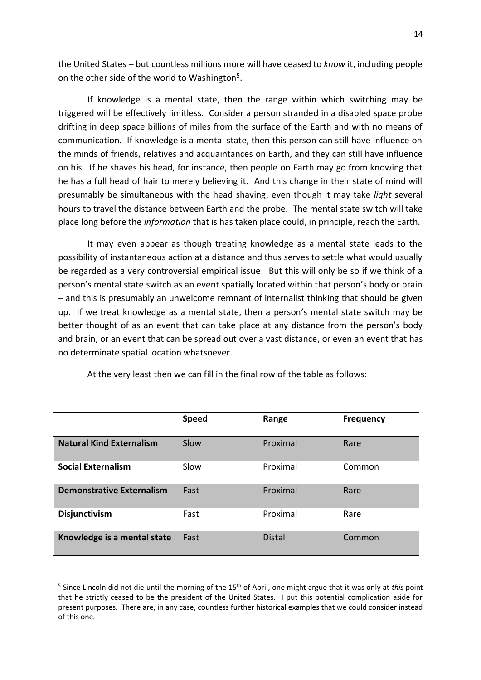the United States – but countless millions more will have ceased to *know* it, including people on the other side of the world to Washington<sup>5</sup>.

If knowledge is a mental state, then the range within which switching may be triggered will be effectively limitless. Consider a person stranded in a disabled space probe drifting in deep space billions of miles from the surface of the Earth and with no means of communication. If knowledge is a mental state, then this person can still have influence on the minds of friends, relatives and acquaintances on Earth, and they can still have influence on his. If he shaves his head, for instance, then people on Earth may go from knowing that he has a full head of hair to merely believing it. And this change in their state of mind will presumably be simultaneous with the head shaving, even though it may take *light* several hours to travel the distance between Earth and the probe. The mental state switch will take place long before the *information* that is has taken place could, in principle, reach the Earth.

It may even appear as though treating knowledge as a mental state leads to the possibility of instantaneous action at a distance and thus serves to settle what would usually be regarded as a very controversial empirical issue. But this will only be so if we think of a person's mental state switch as an event spatially located within that person's body or brain – and this is presumably an unwelcome remnant of internalist thinking that should be given up. If we treat knowledge as a mental state, then a person's mental state switch may be better thought of as an event that can take place at any distance from the person's body and brain, or an event that can be spread out over a vast distance, or even an event that has no determinate spatial location whatsoever.

|                                  | <b>Speed</b> | Range         | <b>Frequency</b> |
|----------------------------------|--------------|---------------|------------------|
| <b>Natural Kind Externalism</b>  | Slow         | Proximal      | Rare             |
| <b>Social Externalism</b>        | Slow         | Proximal      | Common           |
| <b>Demonstrative Externalism</b> | Fast         | Proximal      | Rare             |
| <b>Disjunctivism</b>             | Fast         | Proximal      | Rare             |
| Knowledge is a mental state      | Fast         | <b>Distal</b> | Common           |

At the very least then we can fill in the final row of the table as follows:

<sup>&</sup>lt;sup>5</sup> Since Lincoln did not die until the morning of the 15<sup>th</sup> of April, one might argue that it was only at *this* point that he strictly ceased to be the president of the United States. I put this potential complication aside for present purposes. There are, in any case, countless further historical examples that we could consider instead of this one.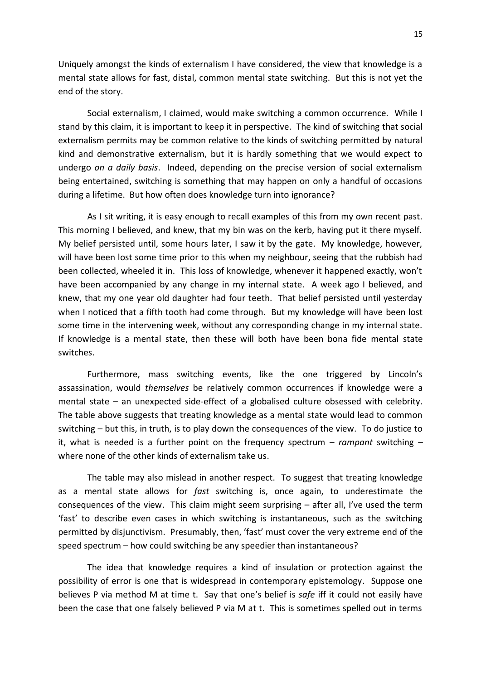Uniquely amongst the kinds of externalism I have considered, the view that knowledge is a mental state allows for fast, distal, common mental state switching. But this is not yet the end of the story.

Social externalism, I claimed, would make switching a common occurrence. While I stand by this claim, it is important to keep it in perspective. The kind of switching that social externalism permits may be common relative to the kinds of switching permitted by natural kind and demonstrative externalism, but it is hardly something that we would expect to undergo *on a daily basis*. Indeed, depending on the precise version of social externalism being entertained, switching is something that may happen on only a handful of occasions during a lifetime. But how often does knowledge turn into ignorance?

As I sit writing, it is easy enough to recall examples of this from my own recent past. This morning I believed, and knew, that my bin was on the kerb, having put it there myself. My belief persisted until, some hours later, I saw it by the gate. My knowledge, however, will have been lost some time prior to this when my neighbour, seeing that the rubbish had been collected, wheeled it in. This loss of knowledge, whenever it happened exactly, won't have been accompanied by any change in my internal state. A week ago I believed, and knew, that my one year old daughter had four teeth. That belief persisted until yesterday when I noticed that a fifth tooth had come through. But my knowledge will have been lost some time in the intervening week, without any corresponding change in my internal state. If knowledge is a mental state, then these will both have been bona fide mental state switches.

Furthermore, mass switching events, like the one triggered by Lincoln's assassination, would *themselves* be relatively common occurrences if knowledge were a mental state – an unexpected side-effect of a globalised culture obsessed with celebrity. The table above suggests that treating knowledge as a mental state would lead to common switching – but this, in truth, is to play down the consequences of the view. To do justice to it, what is needed is a further point on the frequency spectrum – *rampant* switching – where none of the other kinds of externalism take us.

The table may also mislead in another respect. To suggest that treating knowledge as a mental state allows for *fast* switching is, once again, to underestimate the consequences of the view. This claim might seem surprising – after all, I've used the term 'fast' to describe even cases in which switching is instantaneous, such as the switching permitted by disjunctivism. Presumably, then, 'fast' must cover the very extreme end of the speed spectrum – how could switching be any speedier than instantaneous?

The idea that knowledge requires a kind of insulation or protection against the possibility of error is one that is widespread in contemporary epistemology. Suppose one believes P via method M at time t. Say that one's belief is *safe* iff it could not easily have been the case that one falsely believed P via M at t. This is sometimes spelled out in terms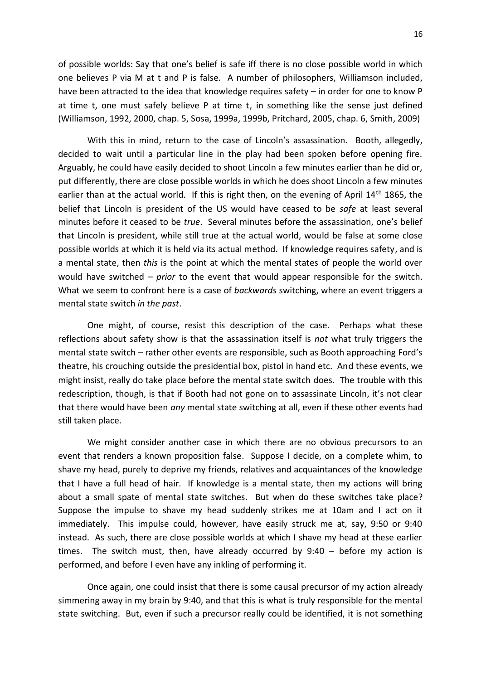of possible worlds: Say that one's belief is safe iff there is no close possible world in which one believes P via M at t and P is false. A number of philosophers, Williamson included, have been attracted to the idea that knowledge requires safety – in order for one to know P at time t, one must safely believe P at time t, in something like the sense just defined (Williamson, 1992, 2000, chap. 5, Sosa, 1999a, 1999b, Pritchard, 2005, chap. 6, Smith, 2009)

With this in mind, return to the case of Lincoln's assassination. Booth, allegedly, decided to wait until a particular line in the play had been spoken before opening fire. Arguably, he could have easily decided to shoot Lincoln a few minutes earlier than he did or, put differently, there are close possible worlds in which he does shoot Lincoln a few minutes earlier than at the actual world. If this is right then, on the evening of April 14<sup>th</sup> 1865, the belief that Lincoln is president of the US would have ceased to be *safe* at least several minutes before it ceased to be *true*. Several minutes before the assassination, one's belief that Lincoln is president, while still true at the actual world, would be false at some close possible worlds at which it is held via its actual method. If knowledge requires safety, and is a mental state, then *this* is the point at which the mental states of people the world over would have switched – *prior* to the event that would appear responsible for the switch. What we seem to confront here is a case of *backwards* switching, where an event triggers a mental state switch *in the past*.

One might, of course, resist this description of the case. Perhaps what these reflections about safety show is that the assassination itself is *not* what truly triggers the mental state switch – rather other events are responsible, such as Booth approaching Ford's theatre, his crouching outside the presidential box, pistol in hand etc. And these events, we might insist, really do take place before the mental state switch does. The trouble with this redescription, though, is that if Booth had not gone on to assassinate Lincoln, it's not clear that there would have been *any* mental state switching at all, even if these other events had still taken place.

We might consider another case in which there are no obvious precursors to an event that renders a known proposition false. Suppose I decide, on a complete whim, to shave my head, purely to deprive my friends, relatives and acquaintances of the knowledge that I have a full head of hair. If knowledge is a mental state, then my actions will bring about a small spate of mental state switches. But when do these switches take place? Suppose the impulse to shave my head suddenly strikes me at 10am and I act on it immediately. This impulse could, however, have easily struck me at, say, 9:50 or 9:40 instead. As such, there are close possible worlds at which I shave my head at these earlier times. The switch must, then, have already occurred by 9:40 – before my action is performed, and before I even have any inkling of performing it.

Once again, one could insist that there is some causal precursor of my action already simmering away in my brain by 9:40, and that this is what is truly responsible for the mental state switching. But, even if such a precursor really could be identified, it is not something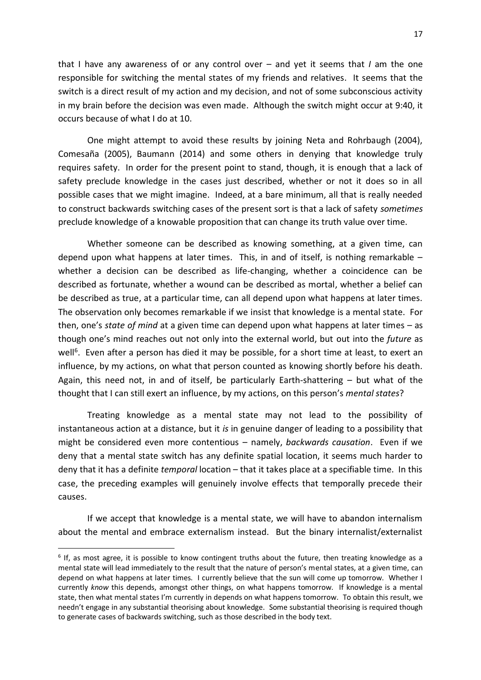that I have any awareness of or any control over – and yet it seems that *I* am the one responsible for switching the mental states of my friends and relatives. It seems that the switch is a direct result of my action and my decision, and not of some subconscious activity in my brain before the decision was even made. Although the switch might occur at 9:40, it occurs because of what I do at 10.

One might attempt to avoid these results by joining Neta and Rohrbaugh (2004), Comesaña (2005), Baumann (2014) and some others in denying that knowledge truly requires safety. In order for the present point to stand, though, it is enough that a lack of safety preclude knowledge in the cases just described, whether or not it does so in all possible cases that we might imagine. Indeed, at a bare minimum, all that is really needed to construct backwards switching cases of the present sort is that a lack of safety *sometimes* preclude knowledge of a knowable proposition that can change its truth value over time.

Whether someone can be described as knowing something, at a given time, can depend upon what happens at later times. This, in and of itself, is nothing remarkable – whether a decision can be described as life-changing, whether a coincidence can be described as fortunate, whether a wound can be described as mortal, whether a belief can be described as true, at a particular time, can all depend upon what happens at later times. The observation only becomes remarkable if we insist that knowledge is a mental state. For then, one's *state of mind* at a given time can depend upon what happens at later times – as though one's mind reaches out not only into the external world, but out into the *future* as well<sup>6</sup>. Even after a person has died it may be possible, for a short time at least, to exert an influence, by my actions, on what that person counted as knowing shortly before his death. Again, this need not, in and of itself, be particularly Earth-shattering – but what of the thought that I can still exert an influence, by my actions, on this person's *mental states*?

Treating knowledge as a mental state may not lead to the possibility of instantaneous action at a distance, but it *is* in genuine danger of leading to a possibility that might be considered even more contentious – namely, *backwards causation*. Even if we deny that a mental state switch has any definite spatial location, it seems much harder to deny that it has a definite *temporal* location – that it takes place at a specifiable time. In this case, the preceding examples will genuinely involve effects that temporally precede their causes.

If we accept that knowledge is a mental state, we will have to abandon internalism about the mental and embrace externalism instead. But the binary internalist/externalist

<sup>&</sup>lt;sup>6</sup> If, as most agree, it is possible to know contingent truths about the future, then treating knowledge as a mental state will lead immediately to the result that the nature of person's mental states, at a given time, can depend on what happens at later times. I currently believe that the sun will come up tomorrow. Whether I currently *know* this depends, amongst other things, on what happens tomorrow. If knowledge is a mental state, then what mental states I'm currently in depends on what happens tomorrow. To obtain this result, we needn't engage in any substantial theorising about knowledge. Some substantial theorising is required though to generate cases of backwards switching, such as those described in the body text.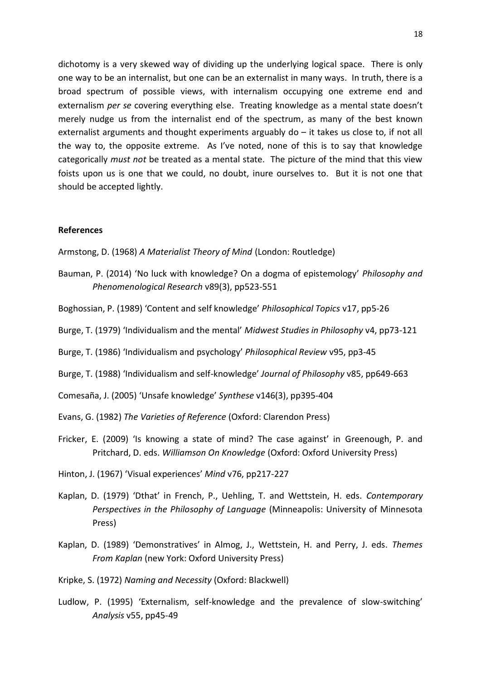dichotomy is a very skewed way of dividing up the underlying logical space. There is only one way to be an internalist, but one can be an externalist in many ways. In truth, there is a broad spectrum of possible views, with internalism occupying one extreme end and externalism *per se* covering everything else. Treating knowledge as a mental state doesn't merely nudge us from the internalist end of the spectrum, as many of the best known externalist arguments and thought experiments arguably  $do - it$  takes us close to, if not all the way to, the opposite extreme. As I've noted, none of this is to say that knowledge categorically *must not* be treated as a mental state. The picture of the mind that this view foists upon us is one that we could, no doubt, inure ourselves to. But it is not one that should be accepted lightly.

# **References**

Armstong, D. (1968) *A Materialist Theory of Mind* (London: Routledge)

- Bauman, P. (2014) 'No luck with knowledge? On a dogma of epistemology' *Philosophy and Phenomenological Research* v89(3), pp523-551
- Boghossian, P. (1989) 'Content and self knowledge' *Philosophical Topics* v17, pp5-26
- Burge, T. (1979) 'Individualism and the mental' *Midwest Studies in Philosophy* v4, pp73-121
- Burge, T. (1986) 'Individualism and psychology' *Philosophical Review* v95, pp3-45
- Burge, T. (1988) 'Individualism and self-knowledge' *Journal of Philosophy* v85, pp649-663
- Comesaña, J. (2005) 'Unsafe knowledge' *Synthese* v146(3), pp395-404

Evans, G. (1982) *The Varieties of Reference* (Oxford: Clarendon Press)

- Fricker, E. (2009) 'Is knowing a state of mind? The case against' in Greenough, P. and Pritchard, D. eds. *Williamson On Knowledge* (Oxford: Oxford University Press)
- Hinton, J. (1967) 'Visual experiences' *Mind* v76, pp217-227
- Kaplan, D. (1979) 'Dthat' in French, P., Uehling, T. and Wettstein, H. eds. *Contemporary Perspectives in the Philosophy of Language* (Minneapolis: University of Minnesota Press)
- Kaplan, D. (1989) 'Demonstratives' in Almog, J., Wettstein, H. and Perry, J. eds. *Themes From Kaplan* (new York: Oxford University Press)
- Kripke, S. (1972) *Naming and Necessity* (Oxford: Blackwell)
- Ludlow, P. (1995) 'Externalism, self-knowledge and the prevalence of slow-switching' *Analysis* v55, pp45-49